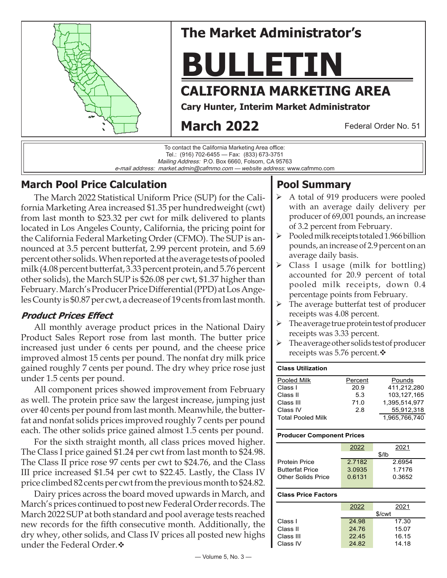

# **The Market Administrator's**

# **BULLETIN**

## **CALIFORNIA MARKETING AREA**

**Cary Hunter, Interim Market Administrator**

# **March 2022**

Federal Order No. 51



## **March Pool Price Calculation**

The March 2022 Statistical Uniform Price (SUP) for the California Marketing Area increased \$1.35 per hundredweight (cwt) from last month to \$23.32 per cwt for milk delivered to plants located in Los Angeles County, California, the pricing point for the California Federal Marketing Order (CFMO). The SUP is announced at 3.5 percent butterfat, 2.99 percent protein, and 5.69 percent other solids. When reported at the average tests of pooled milk (4.08 percent butterfat, 3.33 percent protein, and 5.76 percent other solids), the March SUP is \$26.08 per cwt, \$1.37 higher than February. March's Producer Price Differential (PPD) at Los Angeles County is \$0.87 per cwt, a decrease of 19 cents from last month.

## **Product Prices Effect**

All monthly average product prices in the National Dairy Product Sales Report rose from last month. The butter price increased just under 6 cents per pound, and the cheese price improved almost 15 cents per pound. The nonfat dry milk price gained roughly 7 cents per pound. The dry whey price rose just under 1.5 cents per pound.

All component prices showed improvement from February as well. The protein price saw the largest increase, jumping just over 40 cents per pound from last month. Meanwhile, the butterfat and nonfat solids prices improved roughly 7 cents per pound each. The other solids price gained almost 1.5 cents per pound.

For the sixth straight month, all class prices moved higher. The Class I price gained \$1.24 per cwt from last month to \$24.98. The Class II price rose 97 cents per cwt to \$24.76, and the Class III price increased \$1.54 per cwt to \$22.45. Lastly, the Class IV price climbed 82 cents per cwt from the previous month to \$24.82.

Dairy prices across the board moved upwards in March, and March's prices continued to post new Federal Order records. The March 2022 SUP at both standard and pool average tests reached new records for the fifth consecutive month. Additionally, the dry whey, other solids, and Class IV prices all posted new highs under the Federal Order. $\cdot$ 

## **Pool Summary**

- A total of 919 producers were pooled with an average daily delivery per producer of 69,001 pounds, an increase of 3.2 percent from February.
- $\triangleright$  Pooled milk receipts totaled 1.966 billion pounds, an increase of 2.9 percent on an average daily basis.
- $\triangleright$  Class I usage (milk for bottling) accounted for 20.9 percent of total pooled milk receipts, down 0.4 percentage points from February.
- $\triangleright$  The average butterfat test of producer receipts was 4.08 percent.
- The average true protein test of producer receipts was 3.33 percent.
- $\triangleright$  The average other solids test of producer receipts was 5.76 percent. $\mathbf{\hat{v}}$

## **Class Utilization** Pooled Milk **Percent** Pounds Class I 20.9 411,212,280

| -Giass I                 | 20.9 | 411.212.280   |
|--------------------------|------|---------------|
| Class II                 | 53   | 103.127.165   |
| Class III                | 71.0 | 1.395.514.977 |
| Class IV                 | 2.8  | 55.912.318    |
| <b>Total Pooled Milk</b> |      | 1.965.766.740 |

#### **Producer Component Prices**

|                        | 2022   | 2021   |  |
|------------------------|--------|--------|--|
|                        | \$/lb  |        |  |
| <b>Protein Price</b>   | 2.7182 | 2.6954 |  |
| <b>Butterfat Price</b> | 3.0935 | 1.7176 |  |
| Other Solids Price     | 0.6131 | 0.3652 |  |
|                        |        |        |  |

#### **Class Price Factors**

|           | 2022   | 2021  |  |
|-----------|--------|-------|--|
|           | \$/cwt |       |  |
| Class I   | 24.98  | 17.30 |  |
| Class II  | 24.76  | 15.07 |  |
| Class III | 22.45  | 16.15 |  |
| Class IV  | 24.82  | 14.18 |  |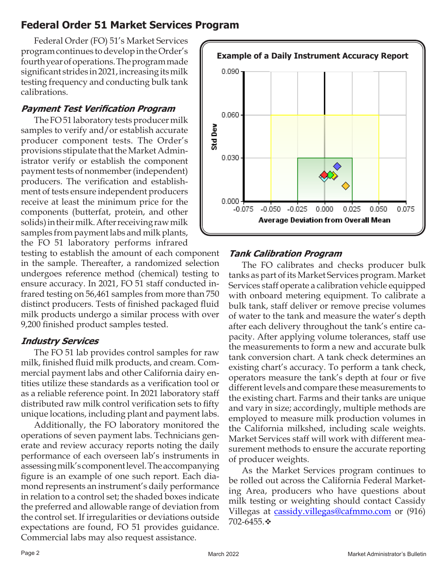## **Federal Order 51 Market Services Program**

Federal Order (FO) 51's Market Services program continues to develop in the Order's fourth year of operations. The program made significant strides in 2021, increasing its milk testing frequency and conducting bulk tank calibrations.

#### **Payment Test Verification Program**

The FO 51 laboratory tests producer milk samples to verify and/or establish accurate producer component tests. The Order's provisions stipulate that the Market Administrator verify or establish the component payment tests of nonmember (independent) producers. The verification and establishment of tests ensure independent producers receive at least the minimum price for the components (butterfat, protein, and other solids) in their milk. After receiving raw milk samples from payment labs and milk plants, the FO 51 laboratory performs infrared

testing to establish the amount of each component in the sample. Thereafter, a randomized selection undergoes reference method (chemical) testing to ensure accuracy. In 2021, FO 51 staff conducted infrared testing on 56,461 samples from more than 750 distinct producers. Tests of finished packaged fluid milk products undergo a similar process with over 9,200 finished product samples tested.

#### **Industry Services**

The FO 51 lab provides control samples for raw milk, finished fluid milk products, and cream. Commercial payment labs and other California dairy entities utilize these standards as a verification tool or as a reliable reference point. In 2021 laboratory staff distributed raw milk control verification sets to fifty unique locations, including plant and payment labs.

Additionally, the FO laboratory monitored the operations of seven payment labs. Technicians generate and review accuracy reports noting the daily performance of each overseen lab's instruments in assessing milk's component level. The accompanying figure is an example of one such report. Each diamond represents an instrument's daily performance in relation to a control set; the shaded boxes indicate the preferred and allowable range of deviation from the control set. If irregularities or deviations outside expectations are found, FO 51 provides guidance. Commercial labs may also request assistance.



#### **Tank Calibration Program**

The FO calibrates and checks producer bulk tanks as part of its Market Services program. Market Services staff operate a calibration vehicle equipped with onboard metering equipment. To calibrate a bulk tank, staff deliver or remove precise volumes of water to the tank and measure the water's depth after each delivery throughout the tank's entire capacity. After applying volume tolerances, staff use the measurements to form a new and accurate bulk tank conversion chart. A tank check determines an existing chart's accuracy. To perform a tank check, operators measure the tank's depth at four or five different levels and compare these measurements to the existing chart. Farms and their tanks are unique and vary in size; accordingly, multiple methods are employed to measure milk production volumes in the California milkshed, including scale weights. Market Services staff will work with different measurement methods to ensure the accurate reporting of producer weights.

As the Market Services program continues to be rolled out across the California Federal Marketing Area, producers who have questions about milk testing or weighting should contact Cassidy Villegas at cassidy.villegas@cafmmo.com or (916) 702-6455. \*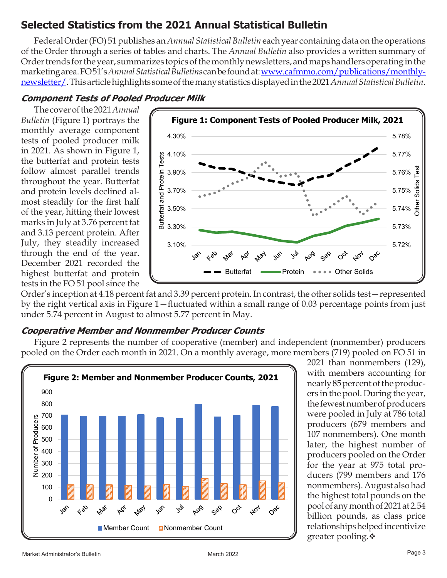## **Selected Statistics from the 2021 Annual Statistical Bulletin**

Federal Order (FO) 51 publishes an *Annual Statistical Bulletin* each year containing data on the operations of the Order through a series of tables and charts. The *Annual Bulletin* also provides a written summary of Order trends for the year, summarizes topics of the monthly newsletters, and maps handlers operating in the marketing area. FO 51's *Annual Statistical Bulletins* can be found at: [www.cafmmo.com/publications/monthly](https://cafmmo.com/publications/monthly-newsletter/)[newsletter/.](https://cafmmo.com/publications/monthly-newsletter/) This article highlights some of the many statistics displayed in the 2021 *[Annual Statistical Bulletin](https://cafmmo.com/download-file/?s=true&folderMap=publications.bulletin.yearly&fileName=2021+Annual.pdf&ia=inline)*.

## **Component Tests of Pooled Producer Milk**

The cover of the 2021 *[Annual](https://cafmmo.com/download-file/?s=true&folderMap=publications.bulletin.yearly&fileName=2021+Annual.pdf&ia=inline)  [Bulletin](https://cafmmo.com/download-file/?s=true&folderMap=publications.bulletin.yearly&fileName=2021+Annual.pdf&ia=inline)* (Figure 1) portrays the monthly average component tests of pooled producer milk in 2021. As shown in Figure 1, the butterfat and protein tests follow almost parallel trends throughout the year. Butterfat and protein levels declined almost steadily for the first half of the year, hitting their lowest marks in July at 3.76 percent fat and 3.13 percent protein. After July, they steadily increased through the end of the year. December 2021 recorded the highest butterfat and protein tests in the FO 51 pool since the



Order's inception at 4.18 percent fat and 3.39 percent protein. In contrast, the other solids test—represented by the right vertical axis in Figure 1—fluctuated within a small range of 0.03 percentage points from just under 5.74 percent in August to almost 5.77 percent in May.

#### **Cooperative Member and Nonmember Producer Counts**

Figure 2 represents the number of cooperative (member) and independent (nonmember) producers pooled on the Order each month in 2021. On a monthly average, more members (719) pooled on FO 51 in



2021 than nonmembers (129), with members accounting for nearly 85 percent of the producers in the pool. During the year, the fewest number of producers were pooled in July at 786 total producers (679 members and 107 nonmembers). One month later, the highest number of producers pooled on the Order for the year at 975 total producers (799 members and 176 nonmembers). August also had the highest total pounds on the pool of any month of 2021 at 2.54 billion pounds, as class price relationships helped incentivize greater pooling. $\ddot{\bullet}$